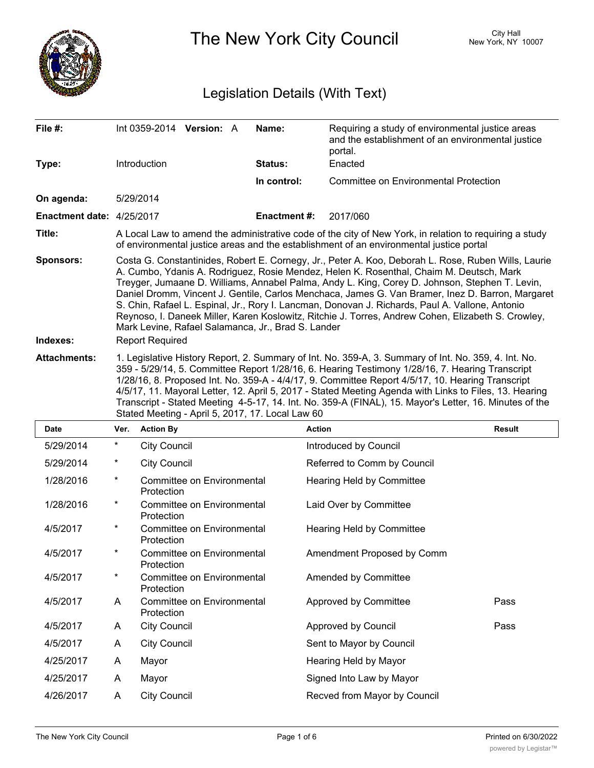

The New York City Council New York, NY 10007

# Legislation Details (With Text)

| File #:                   |                                                                                                                                                                                                                                                                                                                                                                                                                                                                                                                                                                                                                                                                     | Int 0359-2014 Version: A |                            |  | Name:               | Requiring a study of environmental justice areas<br>and the establishment of an environmental justice<br>portal. |               |
|---------------------------|---------------------------------------------------------------------------------------------------------------------------------------------------------------------------------------------------------------------------------------------------------------------------------------------------------------------------------------------------------------------------------------------------------------------------------------------------------------------------------------------------------------------------------------------------------------------------------------------------------------------------------------------------------------------|--------------------------|----------------------------|--|---------------------|------------------------------------------------------------------------------------------------------------------|---------------|
| Type:                     |                                                                                                                                                                                                                                                                                                                                                                                                                                                                                                                                                                                                                                                                     | Introduction             |                            |  | <b>Status:</b>      | Enacted                                                                                                          |               |
|                           |                                                                                                                                                                                                                                                                                                                                                                                                                                                                                                                                                                                                                                                                     |                          |                            |  | In control:         | <b>Committee on Environmental Protection</b>                                                                     |               |
| On agenda:                |                                                                                                                                                                                                                                                                                                                                                                                                                                                                                                                                                                                                                                                                     | 5/29/2014                |                            |  |                     |                                                                                                                  |               |
| Enactment date: 4/25/2017 |                                                                                                                                                                                                                                                                                                                                                                                                                                                                                                                                                                                                                                                                     |                          |                            |  | <b>Enactment #:</b> | 2017/060                                                                                                         |               |
| Title:                    | A Local Law to amend the administrative code of the city of New York, in relation to requiring a study<br>of environmental justice areas and the establishment of an environmental justice portal                                                                                                                                                                                                                                                                                                                                                                                                                                                                   |                          |                            |  |                     |                                                                                                                  |               |
| <b>Sponsors:</b>          | Costa G. Constantinides, Robert E. Cornegy, Jr., Peter A. Koo, Deborah L. Rose, Ruben Wills, Laurie<br>A. Cumbo, Ydanis A. Rodriguez, Rosie Mendez, Helen K. Rosenthal, Chaim M. Deutsch, Mark<br>Treyger, Jumaane D. Williams, Annabel Palma, Andy L. King, Corey D. Johnson, Stephen T. Levin,<br>Daniel Dromm, Vincent J. Gentile, Carlos Menchaca, James G. Van Bramer, Inez D. Barron, Margaret<br>S. Chin, Rafael L. Espinal, Jr., Rory I. Lancman, Donovan J. Richards, Paul A. Vallone, Antonio<br>Reynoso, I. Daneek Miller, Karen Koslowitz, Ritchie J. Torres, Andrew Cohen, Elizabeth S. Crowley,<br>Mark Levine, Rafael Salamanca, Jr., Brad S. Lander |                          |                            |  |                     |                                                                                                                  |               |
| Indexes:                  |                                                                                                                                                                                                                                                                                                                                                                                                                                                                                                                                                                                                                                                                     | <b>Report Required</b>   |                            |  |                     |                                                                                                                  |               |
| <b>Attachments:</b>       | 1. Legislative History Report, 2. Summary of Int. No. 359-A, 3. Summary of Int. No. 359, 4. Int. No.<br>359 - 5/29/14, 5. Committee Report 1/28/16, 6. Hearing Testimony 1/28/16, 7. Hearing Transcript<br>1/28/16, 8. Proposed Int. No. 359-A - 4/4/17, 9. Committee Report 4/5/17, 10. Hearing Transcript<br>4/5/17, 11. Mayoral Letter, 12. April 5, 2017 - Stated Meeting Agenda with Links to Files, 13. Hearing<br>Transcript - Stated Meeting 4-5-17, 14. Int. No. 359-A (FINAL), 15. Mayor's Letter, 16. Minutes of the<br>Stated Meeting - April 5, 2017, 17. Local Law 60                                                                                 |                          |                            |  |                     |                                                                                                                  |               |
| Date                      | Ver.                                                                                                                                                                                                                                                                                                                                                                                                                                                                                                                                                                                                                                                                | <b>Action By</b>         |                            |  | Action              |                                                                                                                  | <b>Result</b> |
| 5/29/2014                 | $^\star$                                                                                                                                                                                                                                                                                                                                                                                                                                                                                                                                                                                                                                                            | <b>City Council</b>      |                            |  |                     | Introduced by Council                                                                                            |               |
| 5/29/2014                 | *                                                                                                                                                                                                                                                                                                                                                                                                                                                                                                                                                                                                                                                                   | <b>City Council</b>      |                            |  |                     | Referred to Comm by Council                                                                                      |               |
| 1/28/2016                 | $^\star$                                                                                                                                                                                                                                                                                                                                                                                                                                                                                                                                                                                                                                                            | Protection               | Committee on Environmental |  |                     | <b>Hearing Held by Committee</b>                                                                                 |               |
| 1/28/2016                 | $^\star$                                                                                                                                                                                                                                                                                                                                                                                                                                                                                                                                                                                                                                                            |                          |                            |  |                     |                                                                                                                  |               |
|                           |                                                                                                                                                                                                                                                                                                                                                                                                                                                                                                                                                                                                                                                                     | Protection               | Committee on Environmental |  |                     | Laid Over by Committee                                                                                           |               |
| 4/5/2017                  | *                                                                                                                                                                                                                                                                                                                                                                                                                                                                                                                                                                                                                                                                   | Protection               | Committee on Environmental |  |                     | <b>Hearing Held by Committee</b>                                                                                 |               |
| 4/5/2017                  |                                                                                                                                                                                                                                                                                                                                                                                                                                                                                                                                                                                                                                                                     | Protection               | Committee on Environmental |  |                     | Amendment Proposed by Comm                                                                                       |               |
| 4/5/2017                  | $\star$                                                                                                                                                                                                                                                                                                                                                                                                                                                                                                                                                                                                                                                             | Protection               | Committee on Environmental |  |                     | Amended by Committee                                                                                             |               |
| 4/5/2017                  | A                                                                                                                                                                                                                                                                                                                                                                                                                                                                                                                                                                                                                                                                   | Protection               | Committee on Environmental |  |                     | Approved by Committee                                                                                            | Pass          |
| 4/5/2017                  | A                                                                                                                                                                                                                                                                                                                                                                                                                                                                                                                                                                                                                                                                   | <b>City Council</b>      |                            |  |                     | Approved by Council                                                                                              | Pass          |
| 4/5/2017                  | A                                                                                                                                                                                                                                                                                                                                                                                                                                                                                                                                                                                                                                                                   | <b>City Council</b>      |                            |  |                     | Sent to Mayor by Council                                                                                         |               |
| 4/25/2017                 | A                                                                                                                                                                                                                                                                                                                                                                                                                                                                                                                                                                                                                                                                   | Mayor                    |                            |  |                     | Hearing Held by Mayor                                                                                            |               |
| 4/25/2017                 | A                                                                                                                                                                                                                                                                                                                                                                                                                                                                                                                                                                                                                                                                   | Mayor                    |                            |  |                     | Signed Into Law by Mayor                                                                                         |               |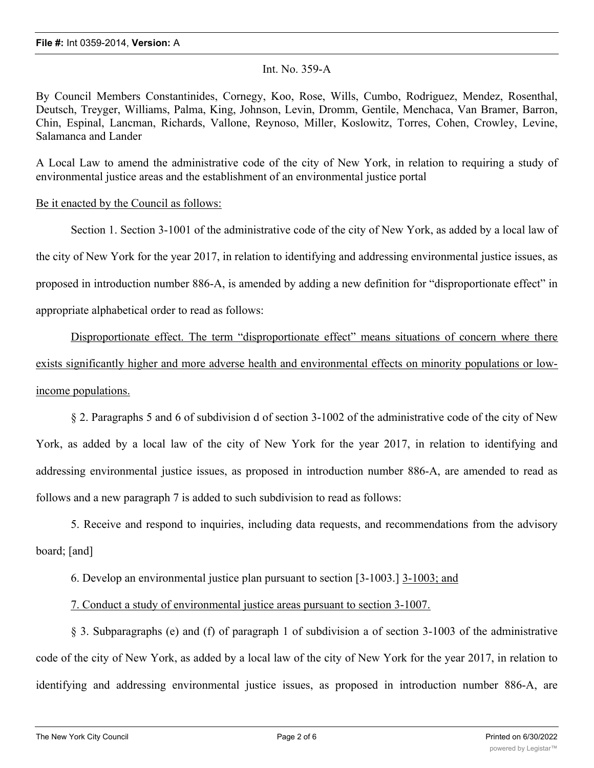## Int. No. 359-A

By Council Members Constantinides, Cornegy, Koo, Rose, Wills, Cumbo, Rodriguez, Mendez, Rosenthal, Deutsch, Treyger, Williams, Palma, King, Johnson, Levin, Dromm, Gentile, Menchaca, Van Bramer, Barron, Chin, Espinal, Lancman, Richards, Vallone, Reynoso, Miller, Koslowitz, Torres, Cohen, Crowley, Levine, Salamanca and Lander

A Local Law to amend the administrative code of the city of New York, in relation to requiring a study of environmental justice areas and the establishment of an environmental justice portal

# Be it enacted by the Council as follows:

Section 1. Section 3-1001 of the administrative code of the city of New York, as added by a local law of the city of New York for the year 2017, in relation to identifying and addressing environmental justice issues, as proposed in introduction number 886-A, is amended by adding a new definition for "disproportionate effect" in appropriate alphabetical order to read as follows: Disproportionate effect. The term "disproportionate effect" means situations of concern where there

exists significantly higher and more adverse health and environmental effects on minority populations or lowincome populations.

§ 2. Paragraphs 5 and 6 of subdivision d of section 3-1002 of the administrative code of the city of New York, as added by a local law of the city of New York for the year 2017, in relation to identifying and addressing environmental justice issues, as proposed in introduction number 886-A, are amended to read as follows and a new paragraph 7 is added to such subdivision to read as follows:

5. Receive and respond to inquiries, including data requests, and recommendations from the advisory board; [and]

6. Develop an environmental justice plan pursuant to section [3-1003.] 3-1003; and

7. Conduct a study of environmental justice areas pursuant to section 3-1007.

§ 3. Subparagraphs (e) and (f) of paragraph 1 of subdivision a of section 3-1003 of the administrative code of the city of New York, as added by a local law of the city of New York for the year 2017, in relation to identifying and addressing environmental justice issues, as proposed in introduction number 886-A, are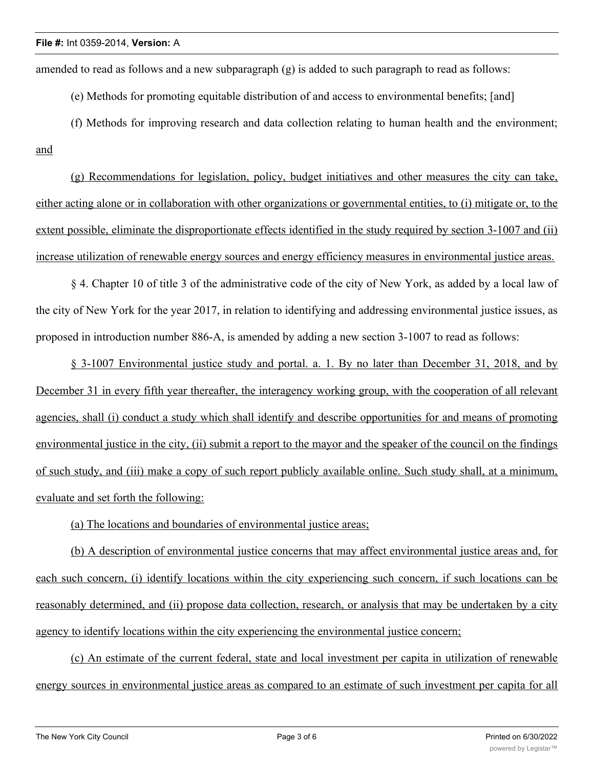amended to read as follows and a new subparagraph  $(g)$  is added to such paragraph to read as follows:

(e) Methods for promoting equitable distribution of and access to environmental benefits; [and]

(f) Methods for improving research and data collection relating to human health and the environment; and

(g) Recommendations for legislation, policy, budget initiatives and other measures the city can take, either acting alone or in collaboration with other organizations or governmental entities, to (i) mitigate or, to the extent possible, eliminate the disproportionate effects identified in the study required by section 3-1007 and (ii) increase utilization of renewable energy sources and energy efficiency measures in environmental justice areas.

§ 4. Chapter 10 of title 3 of the administrative code of the city of New York, as added by a local law of the city of New York for the year 2017, in relation to identifying and addressing environmental justice issues, as proposed in introduction number 886-A, is amended by adding a new section 3-1007 to read as follows:

§ 3-1007 Environmental justice study and portal. a. 1. By no later than December 31, 2018, and by December 31 in every fifth year thereafter, the interagency working group, with the cooperation of all relevant agencies, shall (i) conduct a study which shall identify and describe opportunities for and means of promoting environmental justice in the city, (ii) submit a report to the mayor and the speaker of the council on the findings of such study, and (iii) make a copy of such report publicly available online. Such study shall, at a minimum, evaluate and set forth the following:

(a) The locations and boundaries of environmental justice areas;

(b) A description of environmental justice concerns that may affect environmental justice areas and, for each such concern, (i) identify locations within the city experiencing such concern, if such locations can be reasonably determined, and (ii) propose data collection, research, or analysis that may be undertaken by a city agency to identify locations within the city experiencing the environmental justice concern;

(c) An estimate of the current federal, state and local investment per capita in utilization of renewable energy sources in environmental justice areas as compared to an estimate of such investment per capita for all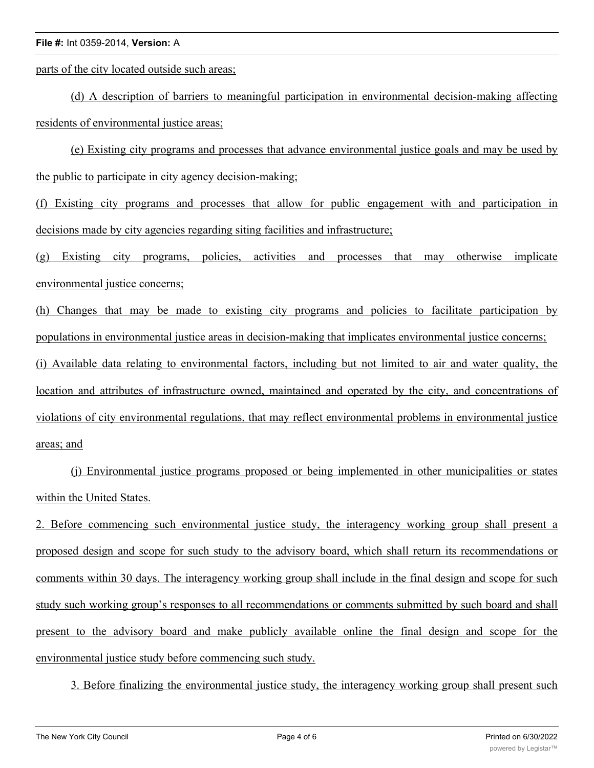#### **File #:** Int 0359-2014, **Version:** A

parts of the city located outside such areas;

(d) A description of barriers to meaningful participation in environmental decision-making affecting residents of environmental justice areas;

(e) Existing city programs and processes that advance environmental justice goals and may be used by the public to participate in city agency decision-making;

(f) Existing city programs and processes that allow for public engagement with and participation in decisions made by city agencies regarding siting facilities and infrastructure;

(g) Existing city programs, policies, activities and processes that may otherwise implicate environmental justice concerns;

(h) Changes that may be made to existing city programs and policies to facilitate participation by populations in environmental justice areas in decision-making that implicates environmental justice concerns; (i) Available data relating to environmental factors, including but not limited to air and water quality, the location and attributes of infrastructure owned, maintained and operated by the city, and concentrations of violations of city environmental regulations, that may reflect environmental problems in environmental justice areas; and

(j) Environmental justice programs proposed or being implemented in other municipalities or states within the United States.

2. Before commencing such environmental justice study, the interagency working group shall present a proposed design and scope for such study to the advisory board, which shall return its recommendations or comments within 30 days. The interagency working group shall include in the final design and scope for such study such working group's responses to all recommendations or comments submitted by such board and shall present to the advisory board and make publicly available online the final design and scope for the environmental justice study before commencing such study.

3. Before finalizing the environmental justice study, the interagency working group shall present such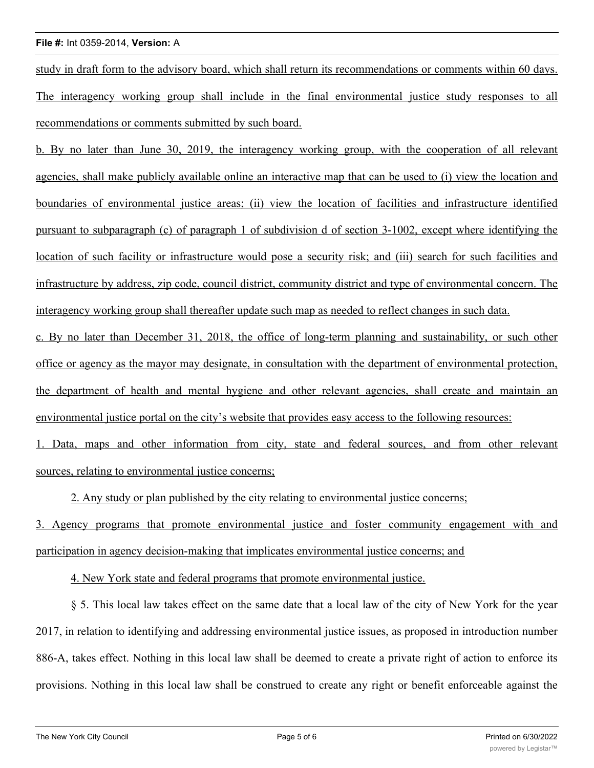#### **File #:** Int 0359-2014, **Version:** A

study in draft form to the advisory board, which shall return its recommendations or comments within 60 days. The interagency working group shall include in the final environmental justice study responses to all recommendations or comments submitted by such board.

b. By no later than June 30, 2019, the interagency working group, with the cooperation of all relevant agencies, shall make publicly available online an interactive map that can be used to (i) view the location and boundaries of environmental justice areas; (ii) view the location of facilities and infrastructure identified pursuant to subparagraph (c) of paragraph 1 of subdivision d of section 3-1002, except where identifying the location of such facility or infrastructure would pose a security risk; and (iii) search for such facilities and infrastructure by address, zip code, council district, community district and type of environmental concern. The interagency working group shall thereafter update such map as needed to reflect changes in such data.

c. By no later than December 31, 2018, the office of long-term planning and sustainability, or such other office or agency as the mayor may designate, in consultation with the department of environmental protection, the department of health and mental hygiene and other relevant agencies, shall create and maintain an environmental justice portal on the city's website that provides easy access to the following resources:

1. Data, maps and other information from city, state and federal sources, and from other relevant sources, relating to environmental justice concerns;

2. Any study or plan published by the city relating to environmental justice concerns;

3. Agency programs that promote environmental justice and foster community engagement with and participation in agency decision-making that implicates environmental justice concerns; and

4. New York state and federal programs that promote environmental justice.

§ 5. This local law takes effect on the same date that a local law of the city of New York for the year 2017, in relation to identifying and addressing environmental justice issues, as proposed in introduction number 886-A, takes effect. Nothing in this local law shall be deemed to create a private right of action to enforce its provisions. Nothing in this local law shall be construed to create any right or benefit enforceable against the